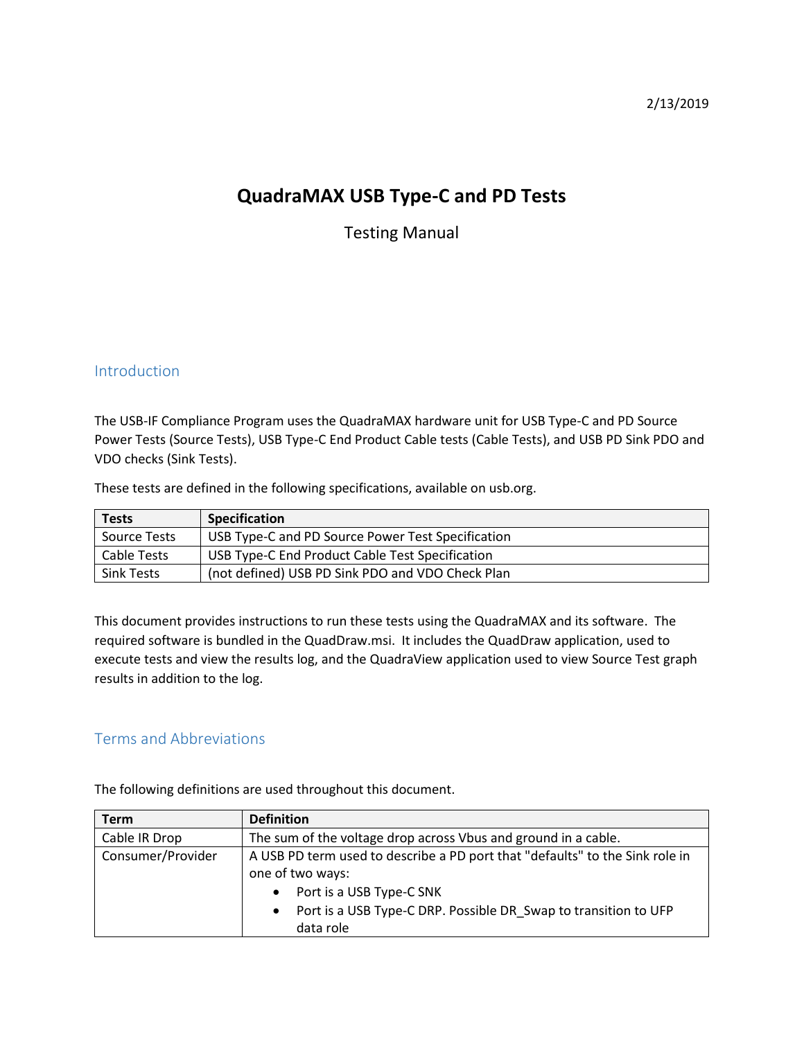2/13/2019

# **QuadraMAX USB Type-C and PD Tests**

Testing Manual

## Introduction

The USB-IF Compliance Program uses the QuadraMAX hardware unit for USB Type-C and PD Source Power Tests (Source Tests), USB Type-C End Product Cable tests (Cable Tests), and USB PD Sink PDO and VDO checks (Sink Tests).

These tests are defined in the following specifications, available on usb.org.

| <b>Tests</b>      | <b>Specification</b>                              |
|-------------------|---------------------------------------------------|
| Source Tests      | USB Type-C and PD Source Power Test Specification |
| Cable Tests       | USB Type-C End Product Cable Test Specification   |
| <b>Sink Tests</b> | (not defined) USB PD Sink PDO and VDO Check Plan  |

This document provides instructions to run these tests using the QuadraMAX and its software. The required software is bundled in the QuadDraw.msi. It includes the QuadDraw application, used to execute tests and view the results log, and the QuadraView application used to view Source Test graph results in addition to the log.

# Terms and Abbreviations

| <b>Term</b>       | <b>Definition</b>                                                            |
|-------------------|------------------------------------------------------------------------------|
| Cable IR Drop     | The sum of the voltage drop across Vbus and ground in a cable.               |
| Consumer/Provider | A USB PD term used to describe a PD port that "defaults" to the Sink role in |
|                   | one of two ways:                                                             |
|                   | Port is a USB Type-C SNK                                                     |
|                   | Port is a USB Type-C DRP. Possible DR Swap to transition to UFP<br>$\bullet$ |
|                   | data role                                                                    |

The following definitions are used throughout this document.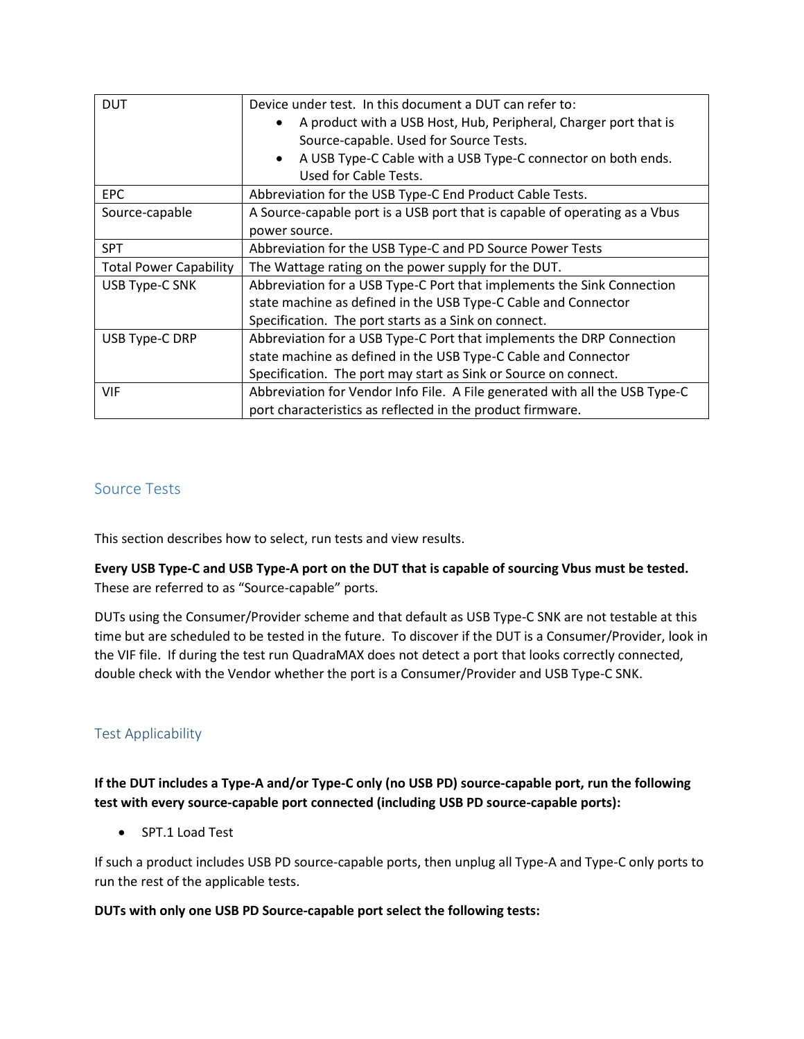| <b>DUT</b>                    | Device under test. In this document a DUT can refer to:                                                    |
|-------------------------------|------------------------------------------------------------------------------------------------------------|
|                               | A product with a USB Host, Hub, Peripheral, Charger port that is<br>Source-capable. Used for Source Tests. |
|                               | A USB Type-C Cable with a USB Type-C connector on both ends.<br>$\bullet$<br>Used for Cable Tests.         |
| <b>EPC</b>                    | Abbreviation for the USB Type-C End Product Cable Tests.                                                   |
| Source-capable                | A Source-capable port is a USB port that is capable of operating as a Vbus                                 |
|                               | power source.                                                                                              |
| <b>SPT</b>                    | Abbreviation for the USB Type-C and PD Source Power Tests                                                  |
| <b>Total Power Capability</b> | The Wattage rating on the power supply for the DUT.                                                        |
| USB Type-C SNK                | Abbreviation for a USB Type-C Port that implements the Sink Connection                                     |
|                               | state machine as defined in the USB Type-C Cable and Connector                                             |
|                               | Specification. The port starts as a Sink on connect.                                                       |
| USB Type-C DRP                | Abbreviation for a USB Type-C Port that implements the DRP Connection                                      |
|                               | state machine as defined in the USB Type-C Cable and Connector                                             |
|                               | Specification. The port may start as Sink or Source on connect.                                            |
| <b>VIF</b>                    | Abbreviation for Vendor Info File. A File generated with all the USB Type-C                                |
|                               | port characteristics as reflected in the product firmware.                                                 |

# Source Tests

This section describes how to select, run tests and view results.

**Every USB Type-C and USB Type-A port on the DUT that is capable of sourcing Vbus must be tested.**  These are referred to as "Source-capable" ports.

DUTs using the Consumer/Provider scheme and that default as USB Type-C SNK are not testable at this time but are scheduled to be tested in the future. To discover if the DUT is a Consumer/Provider, look in the VIF file. If during the test run QuadraMAX does not detect a port that looks correctly connected, double check with the Vendor whether the port is a Consumer/Provider and USB Type-C SNK.

# Test Applicability

**If the DUT includes a Type-A and/or Type-C only (no USB PD) source-capable port, run the following test with every source-capable port connected (including USB PD source-capable ports):**

• SPT.1 Load Test

If such a product includes USB PD source-capable ports, then unplug all Type-A and Type-C only ports to run the rest of the applicable tests.

## **DUTs with only one USB PD Source-capable port select the following tests:**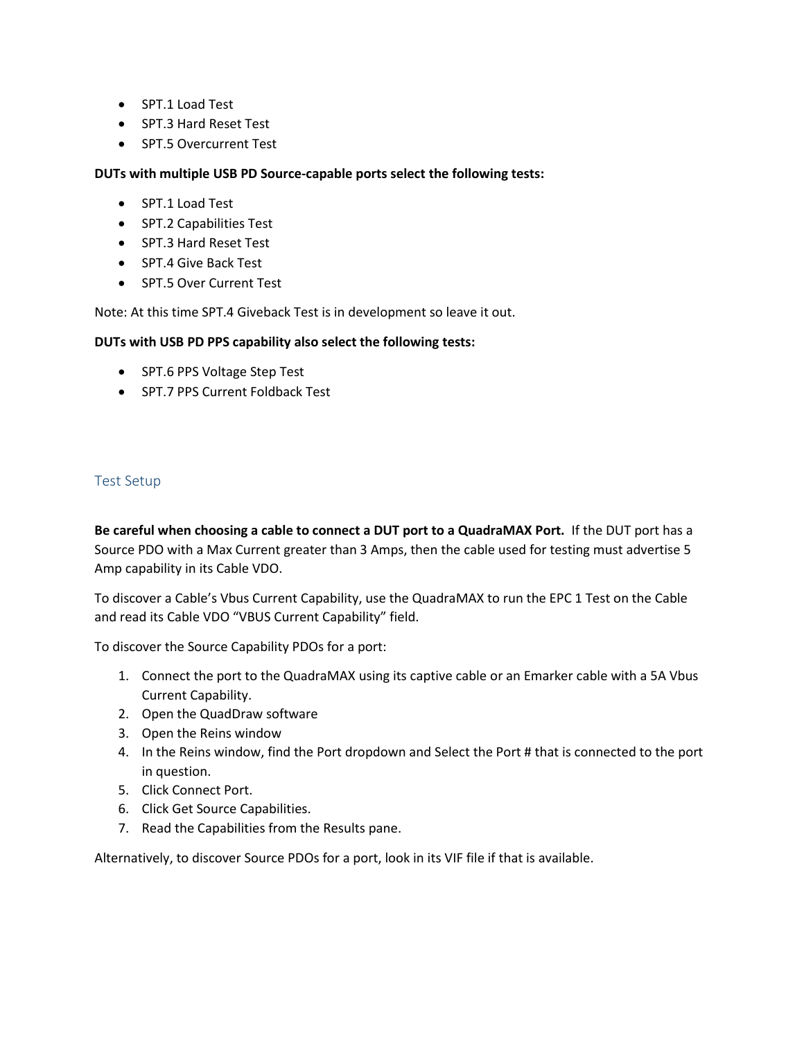- SPT.1 Load Test
- SPT.3 Hard Reset Test
- SPT.5 Overcurrent Test

## **DUTs with multiple USB PD Source-capable ports select the following tests:**

- SPT.1 Load Test
- SPT.2 Capabilities Test
- SPT.3 Hard Reset Test
- SPT.4 Give Back Test
- SPT.5 Over Current Test

Note: At this time SPT.4 Giveback Test is in development so leave it out.

#### **DUTs with USB PD PPS capability also select the following tests:**

- SPT.6 PPS Voltage Step Test
- SPT.7 PPS Current Foldback Test

## Test Setup

**Be careful when choosing a cable to connect a DUT port to a QuadraMAX Port.** If the DUT port has a Source PDO with a Max Current greater than 3 Amps, then the cable used for testing must advertise 5 Amp capability in its Cable VDO.

To discover a Cable's Vbus Current Capability, use the QuadraMAX to run the EPC 1 Test on the Cable and read its Cable VDO "VBUS Current Capability" field.

To discover the Source Capability PDOs for a port:

- 1. Connect the port to the QuadraMAX using its captive cable or an Emarker cable with a 5A Vbus Current Capability.
- 2. Open the QuadDraw software
- 3. Open the Reins window
- 4. In the Reins window, find the Port dropdown and Select the Port # that is connected to the port in question.
- 5. Click Connect Port.
- 6. Click Get Source Capabilities.
- 7. Read the Capabilities from the Results pane.

Alternatively, to discover Source PDOs for a port, look in its VIF file if that is available.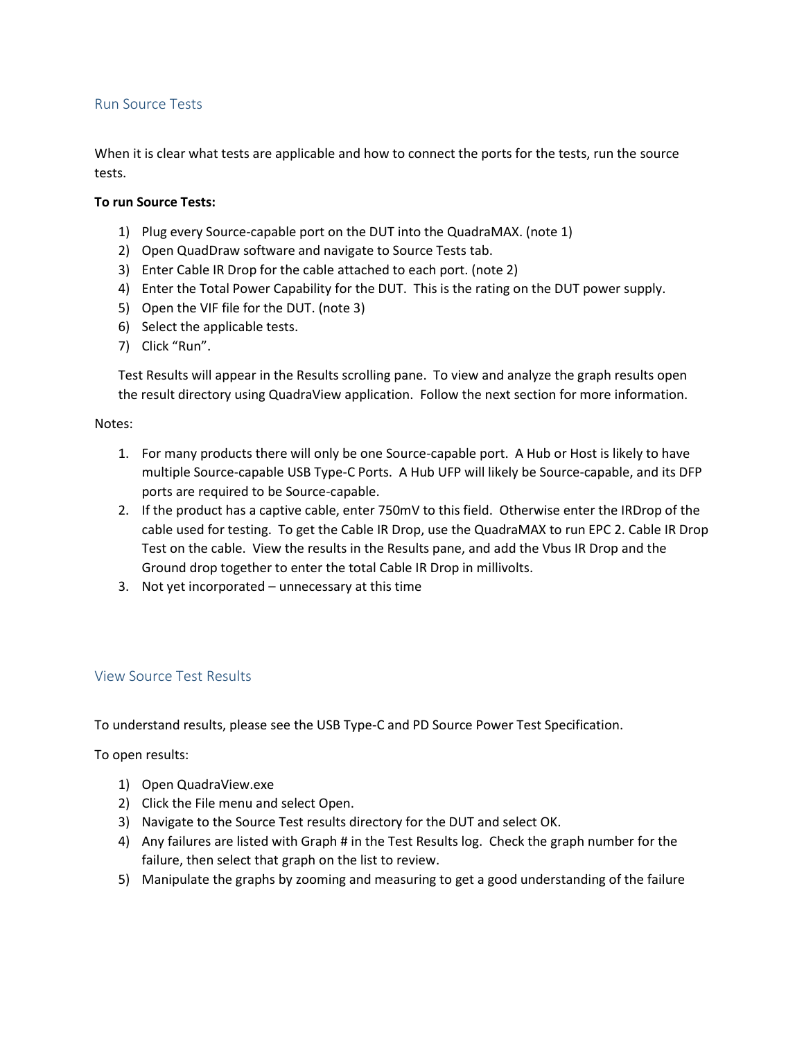## Run Source Tests

When it is clear what tests are applicable and how to connect the ports for the tests, run the source tests.

## **To run Source Tests:**

- 1) Plug every Source-capable port on the DUT into the QuadraMAX. (note 1)
- 2) Open QuadDraw software and navigate to Source Tests tab.
- 3) Enter Cable IR Drop for the cable attached to each port. (note 2)
- 4) Enter the Total Power Capability for the DUT. This is the rating on the DUT power supply.
- 5) Open the VIF file for the DUT. (note 3)
- 6) Select the applicable tests.
- 7) Click "Run".

Test Results will appear in the Results scrolling pane. To view and analyze the graph results open the result directory using QuadraView application. Follow the next section for more information.

#### Notes:

- 1. For many products there will only be one Source-capable port. A Hub or Host is likely to have multiple Source-capable USB Type-C Ports. A Hub UFP will likely be Source-capable, and its DFP ports are required to be Source-capable.
- 2. If the product has a captive cable, enter 750mV to this field. Otherwise enter the IRDrop of the cable used for testing. To get the Cable IR Drop, use the QuadraMAX to run EPC 2. Cable IR Drop Test on the cable. View the results in the Results pane, and add the Vbus IR Drop and the Ground drop together to enter the total Cable IR Drop in millivolts.
- 3. Not yet incorporated unnecessary at this time

## View Source Test Results

To understand results, please see the USB Type-C and PD Source Power Test Specification.

To open results:

- 1) Open QuadraView.exe
- 2) Click the File menu and select Open.
- 3) Navigate to the Source Test results directory for the DUT and select OK.
- 4) Any failures are listed with Graph # in the Test Results log. Check the graph number for the failure, then select that graph on the list to review.
- 5) Manipulate the graphs by zooming and measuring to get a good understanding of the failure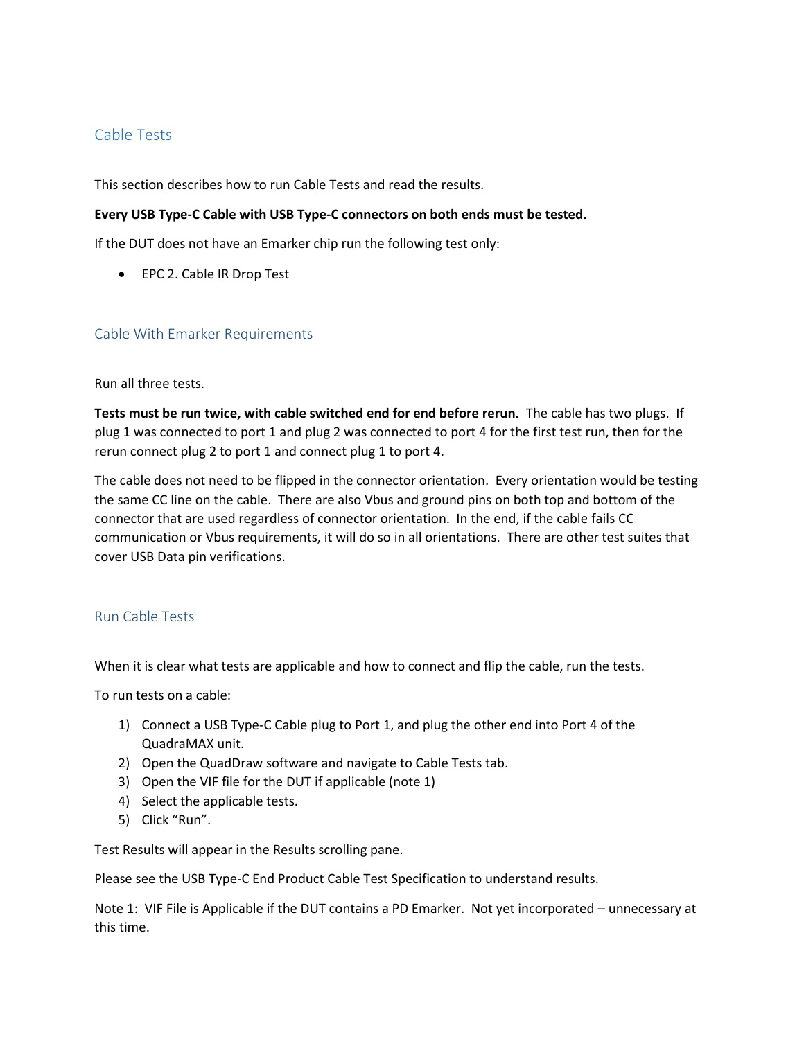## Cable Tests

This section describes how to run Cable Tests and read the results.

## **Every USB Type-C Cable with USB Type-C connectors on both ends must be tested.**

If the DUT does not have an Emarker chip run the following test only:

• EPC 2. Cable IR Drop Test

## Cable With Emarker Requirements

Run all three tests.

**Tests must be run twice, with cable switched end for end before rerun.** The cable has two plugs. If plug 1 was connected to port 1 and plug 2 was connected to port 4 for the first test run, then for the rerun connect plug 2 to port 1 and connect plug 1 to port 4.

The cable does not need to be flipped in the connector orientation. Every orientation would be testing the same CC line on the cable. There are also Vbus and ground pins on both top and bottom of the connector that are used regardless of connector orientation. In the end, if the cable fails CC communication or Vbus requirements, it will do so in all orientations. There are other test suites that cover USB Data pin verifications.

## Run Cable Tests

When it is clear what tests are applicable and how to connect and flip the cable, run the tests.

To run tests on a cable:

- 1) Connect a USB Type-C Cable plug to Port 1, and plug the other end into Port 4 of the QuadraMAX unit.
- 2) Open the QuadDraw software and navigate to Cable Tests tab.
- 3) Open the VIF file for the DUT if applicable (note 1)
- 4) Select the applicable tests.
- 5) Click "Run".

Test Results will appear in the Results scrolling pane.

Please see the USB Type-C End Product Cable Test Specification to understand results.

Note 1: VIF File is Applicable if the DUT contains a PD Emarker. Not yet incorporated – unnecessary at this time.